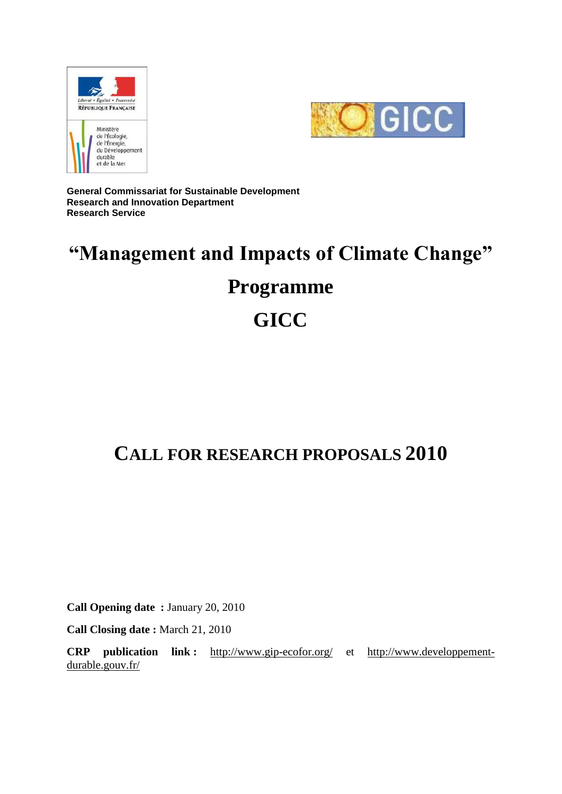



**General Commissariat for Sustainable Development Research and Innovation Department Research Service**

# **"Management and Impacts of Climate Change"**

# **Programme**

# **GICC**

## **CALL FOR RESEARCH PROPOSALS 2010**

**Call Opening date :** January 20, 2010

**Call Closing date :** March 21, 2010

**CRP publication link :** <http://www.gip-ecofor.org/> et [http://www.developpement](http://www.developpement-durable.gouv.fr/)[durable.gouv.fr/](http://www.developpement-durable.gouv.fr/)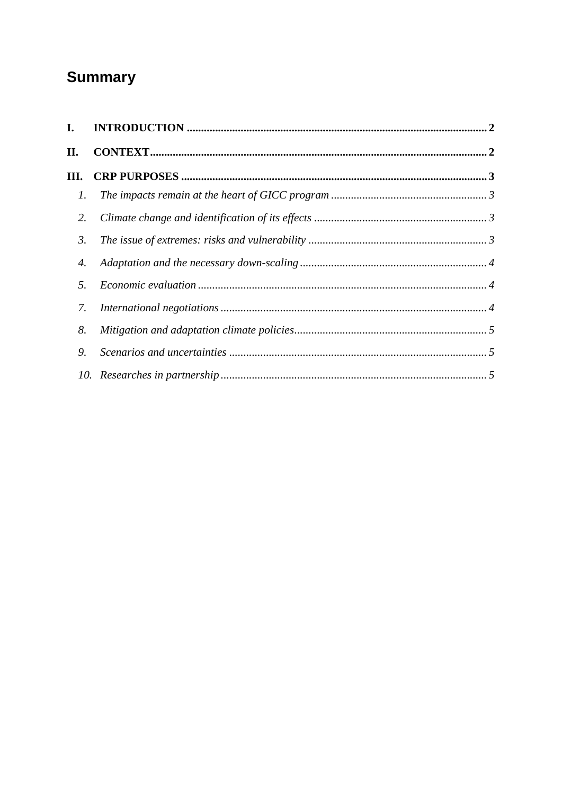## **Summary**

| I. |  |
|----|--|
| П. |  |
| Ш. |  |
| 1. |  |
| 2. |  |
| 3. |  |
| 4. |  |
| 5. |  |
| 7. |  |
| 8. |  |
| 9. |  |
|    |  |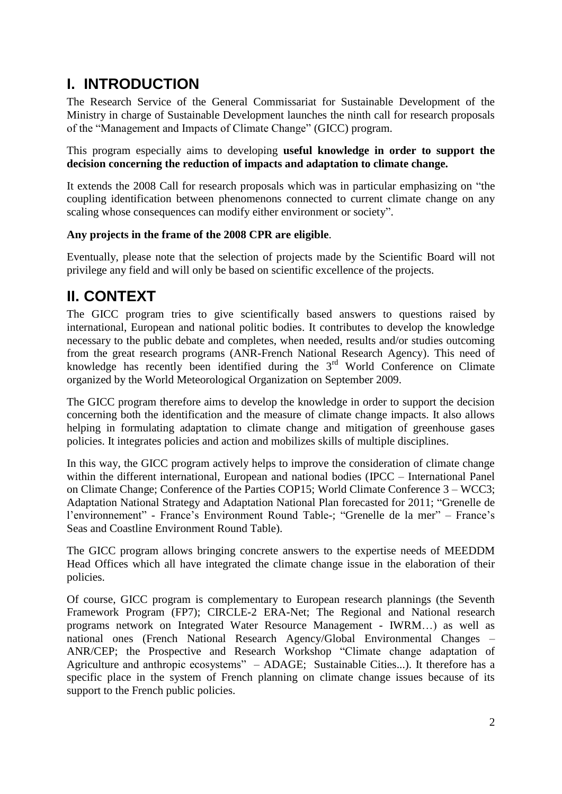### <span id="page-2-0"></span>**I. INTRODUCTION**

The Research Service of the General Commissariat for Sustainable Development of the Ministry in charge of Sustainable Development launches the ninth call for research proposals of the "Management and Impacts of Climate Change" (GICC) program.

This program especially aims to developing **useful knowledge in order to support the decision concerning the reduction of impacts and adaptation to climate change.**

It extends the 2008 Call for research proposals which was in particular emphasizing on "the coupling identification between phenomenons connected to current climate change on any scaling whose consequences can modify either environment or society".

#### **Any projects in the frame of the 2008 CPR are eligible**.

Eventually, please note that the selection of projects made by the Scientific Board will not privilege any field and will only be based on scientific excellence of the projects.

### <span id="page-2-1"></span>**II. CONTEXT**

The GICC program tries to give scientifically based answers to questions raised by international, European and national politic bodies. It contributes to develop the knowledge necessary to the public debate and completes, when needed, results and/or studies outcoming from the great research programs (ANR-French National Research Agency). This need of knowledge has recently been identified during the  $3<sup>rd</sup>$  World Conference on Climate organized by the World Meteorological Organization on September 2009.

The GICC program therefore aims to develop the knowledge in order to support the decision concerning both the identification and the measure of climate change impacts. It also allows helping in formulating adaptation to climate change and mitigation of greenhouse gases policies. It integrates policies and action and mobilizes skills of multiple disciplines.

In this way, the GICC program actively helps to improve the consideration of climate change within the different international, European and national bodies (IPCC – International Panel on Climate Change; Conference of the Parties COP15; World Climate Conference 3 – WCC3; Adaptation National Strategy and Adaptation National Plan forecasted for 2011; "Grenelle de l'environnement" - France's Environment Round Table-; "Grenelle de la mer" – France's Seas and Coastline Environment Round Table).

The GICC program allows bringing concrete answers to the expertise needs of MEEDDM Head Offices which all have integrated the climate change issue in the elaboration of their policies.

Of course, GICC program is complementary to European research plannings (the Seventh Framework Program (FP7); CIRCLE*-*2 ERA-Net; The Regional and National research programs network on Integrated Water Resource Management - IWRM…) as well as national ones (French National Research Agency/Global Environmental Changes – ANR/CEP; the Prospective and Research Workshop "Climate change adaptation of Agriculture and anthropic ecosystems" – ADAGE; Sustainable Cities...). It therefore has a specific place in the system of French planning on climate change issues because of its support to the French public policies.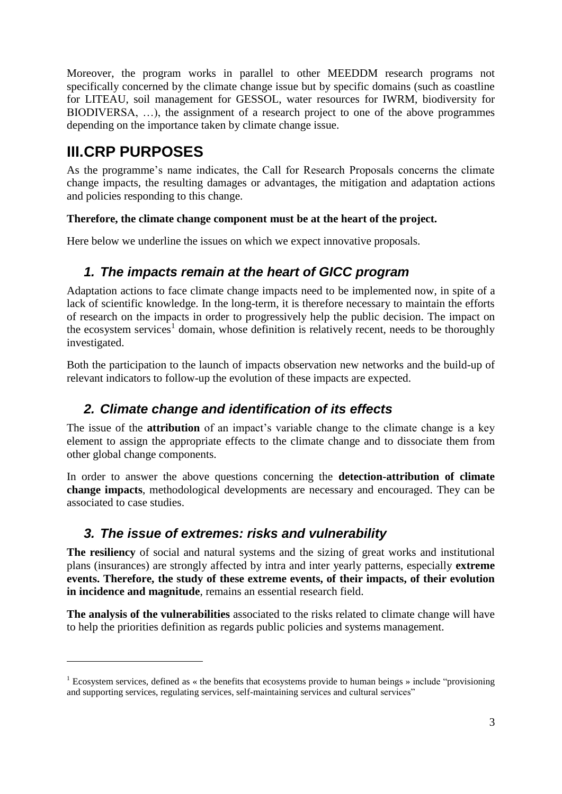Moreover, the program works in parallel to other MEEDDM research programs not specifically concerned by the climate change issue but by specific domains (such as coastline for LITEAU, soil management for GESSOL, water resources for IWRM, biodiversity for BIODIVERSA, …), the assignment of a research project to one of the above programmes depending on the importance taken by climate change issue.

### <span id="page-3-0"></span>**III.CRP PURPOSES**

1

As the programme's name indicates, the Call for Research Proposals concerns the climate change impacts, the resulting damages or advantages, the mitigation and adaptation actions and policies responding to this change.

#### **Therefore, the climate change component must be at the heart of the project.**

<span id="page-3-1"></span>Here below we underline the issues on which we expect innovative proposals.

#### *1. The impacts remain at the heart of GICC program*

Adaptation actions to face climate change impacts need to be implemented now, in spite of a lack of scientific knowledge. In the long-term, it is therefore necessary to maintain the efforts of research on the impacts in order to progressively help the public decision. The impact on the ecosystem services<sup>1</sup> domain, whose definition is relatively recent, needs to be thoroughly investigated.

Both the participation to the launch of impacts observation new networks and the build-up of relevant indicators to follow-up the evolution of these impacts are expected.

#### <span id="page-3-2"></span>*2. Climate change and identification of its effects*

The issue of the **attribution** of an impact's variable change to the climate change is a key element to assign the appropriate effects to the climate change and to dissociate them from other global change components.

In order to answer the above questions concerning the **detection-attribution of climate change impacts**, methodological developments are necessary and encouraged. They can be associated to case studies.

#### <span id="page-3-3"></span>*3. The issue of extremes: risks and vulnerability*

**The resiliency** of social and natural systems and the sizing of great works and institutional plans (insurances) are strongly affected by intra and inter yearly patterns, especially **extreme events. Therefore, the study of these extreme events, of their impacts, of their evolution in incidence and magnitude**, remains an essential research field.

**The analysis of the vulnerabilities** associated to the risks related to climate change will have to help the priorities definition as regards public policies and systems management.

<sup>&</sup>lt;sup>1</sup> Ecosystem services, defined as « the benefits that ecosystems provide to human beings » include "provisioning and supporting services, regulating services, self-maintaining services and cultural services"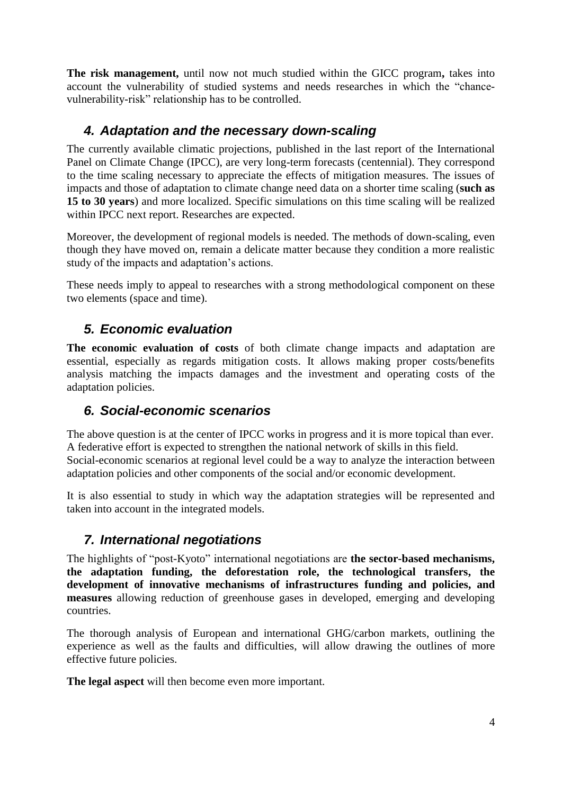**The risk management,** until now not much studied within the GICC program**,** takes into account the vulnerability of studied systems and needs researches in which the "chancevulnerability-risk" relationship has to be controlled.

#### <span id="page-4-0"></span>*4. Adaptation and the necessary down-scaling*

The currently available climatic projections, published in the last report of the International Panel on Climate Change (IPCC), are very long-term forecasts (centennial). They correspond to the time scaling necessary to appreciate the effects of mitigation measures. The issues of impacts and those of adaptation to climate change need data on a shorter time scaling (**such as 15 to 30 years**) and more localized. Specific simulations on this time scaling will be realized within IPCC next report. Researches are expected.

Moreover, the development of regional models is needed. The methods of down-scaling, even though they have moved on, remain a delicate matter because they condition a more realistic study of the impacts and adaptation's actions.

These needs imply to appeal to researches with a strong methodological component on these two elements (space and time).

#### <span id="page-4-1"></span>*5. Economic evaluation*

**The economic evaluation of costs** of both climate change impacts and adaptation are essential, especially as regards mitigation costs. It allows making proper costs/benefits analysis matching the impacts damages and the investment and operating costs of the adaptation policies.

#### *6. Social-economic scenarios*

The above question is at the center of IPCC works in progress and it is more topical than ever. A federative effort is expected to strengthen the national network of skills in this field. Social-economic scenarios at regional level could be a way to analyze the interaction between adaptation policies and other components of the social and/or economic development.

It is also essential to study in which way the adaptation strategies will be represented and taken into account in the integrated models.

#### <span id="page-4-2"></span>*7. International negotiations*

The highlights of "post-Kyoto" international negotiations are **the sector-based mechanisms, the adaptation funding, the deforestation role, the technological transfers, the development of innovative mechanisms of infrastructures funding and policies, and measures** allowing reduction of greenhouse gases in developed, emerging and developing countries.

The thorough analysis of European and international GHG/carbon markets, outlining the experience as well as the faults and difficulties, will allow drawing the outlines of more effective future policies.

**The legal aspect** will then become even more important.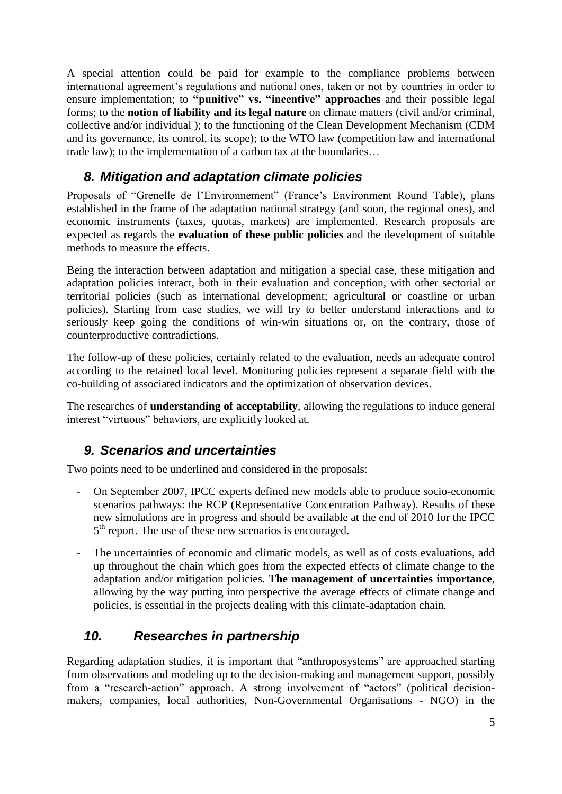A special attention could be paid for example to the compliance problems between international agreement's regulations and national ones, taken or not by countries in order to ensure implementation; to **"punitive" vs. "incentive" approaches** and their possible legal forms; to the **notion of liability and its legal nature** on climate matters (civil and/or criminal, collective and/or individual ); to the functioning of the Clean Development Mechanism (CDM and its governance, its control, its scope); to the WTO law (competition law and international trade law); to the implementation of a carbon tax at the boundaries…

#### <span id="page-5-0"></span>*8. Mitigation and adaptation climate policies*

Proposals of "Grenelle de l'Environnement" (France's Environment Round Table), plans established in the frame of the adaptation national strategy (and soon, the regional ones), and economic instruments (taxes, quotas, markets) are implemented. Research proposals are expected as regards the **evaluation of these public policies** and the development of suitable methods to measure the effects.

Being the interaction between adaptation and mitigation a special case, these mitigation and adaptation policies interact, both in their evaluation and conception, with other sectorial or territorial policies (such as international development; agricultural or coastline or urban policies). Starting from case studies, we will try to better understand interactions and to seriously keep going the conditions of win-win situations or, on the contrary, those of counterproductive contradictions.

The follow-up of these policies, certainly related to the evaluation, needs an adequate control according to the retained local level. Monitoring policies represent a separate field with the co-building of associated indicators and the optimization of observation devices.

The researches of **understanding of acceptability**, allowing the regulations to induce general interest "virtuous" behaviors, are explicitly looked at.

#### <span id="page-5-1"></span>*9. Scenarios and uncertainties*

Two points need to be underlined and considered in the proposals:

- On September 2007, IPCC experts defined new models able to produce socio-economic scenarios pathways: the RCP (Representative Concentration Pathway). Results of these new simulations are in progress and should be available at the end of 2010 for the IPCC 5<sup>th</sup> report. The use of these new scenarios is encouraged.
- The uncertainties of economic and climatic models, as well as of costs evaluations, add up throughout the chain which goes from the expected effects of climate change to the adaptation and/or mitigation policies. **The management of uncertainties importance**, allowing by the way putting into perspective the average effects of climate change and policies, is essential in the projects dealing with this climate-adaptation chain.

#### <span id="page-5-2"></span>*10. Researches in partnership*

Regarding adaptation studies, it is important that "anthroposystems" are approached starting from observations and modeling up to the decision-making and management support, possibly from a "research-action" approach. A strong involvement of "actors" (political decisionmakers, companies, local authorities, Non-Governmental Organisations - NGO) in the